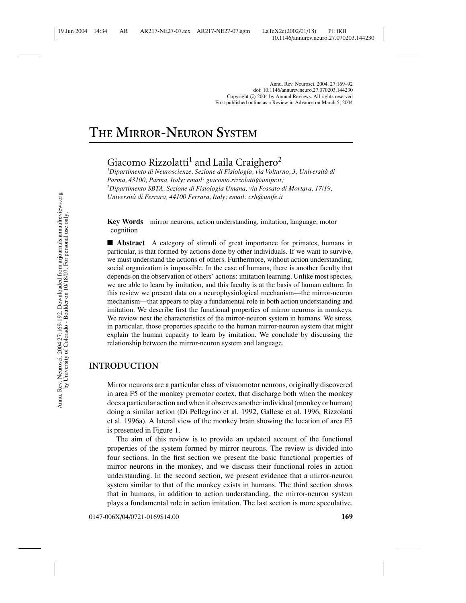# **THE MIRROR-NEURON SYSTEM**

Giacomo Rizzolatti<sup>1</sup> and Laila Craighero<sup>2</sup>

*1 Dipartimento di Neuroscienze, Sezione di Fisiologia, via Volturno, 3, Universita` di Parma, 43100, Parma, Italy; email: giacomo.rizzolatti@unipr.it; 2 Dipartimento SBTA, Sezione di Fisiologia Umana, via Fossato di Mortara, 17/19, Universita` di Ferrara, 44100 Ferrara, Italy; email: crh@unife.it*

**Key Words** mirror neurons, action understanding, imitation, language, motor cognition

■ **Abstract** A category of stimuli of great importance for primates, humans in particular, is that formed by actions done by other individuals. If we want to survive, we must understand the actions of others. Furthermore, without action understanding, social organization is impossible. In the case of humans, there is another faculty that depends on the observation of others' actions: imitation learning. Unlike most species, we are able to learn by imitation, and this faculty is at the basis of human culture. In this review we present data on a neurophysiological mechanism—the mirror-neuron mechanism—that appears to play a fundamental role in both action understanding and imitation. We describe first the functional properties of mirror neurons in monkeys. We review next the characteristics of the mirror-neuron system in humans. We stress, in particular, those properties specific to the human mirror-neuron system that might explain the human capacity to learn by imitation. We conclude by discussing the relationship between the mirror-neuron system and language.

## **INTRODUCTION**

Mirror neurons are a particular class of visuomotor neurons, originally discovered in area F5 of the monkey premotor cortex, that discharge both when the monkey does a particular action and when it observes anotherindividual(monkey or human) doing a similar action (Di Pellegrino et al. 1992, Gallese et al. 1996, Rizzolatti et al. 1996a). A lateral view of the monkey brain showing the location of area F5 is presented in Figure 1.

The aim of this review is to provide an updated account of the functional properties of the system formed by mirror neurons. The review is divided into four sections. In the first section we present the basic functional properties of mirror neurons in the monkey, and we discuss their functional roles in action understanding. In the second section, we present evidence that a mirror-neuron system similar to that of the monkey exists in humans. The third section shows that in humans, in addition to action understanding, the mirror-neuron system plays a fundamental role in action imitation. The last section is more speculative.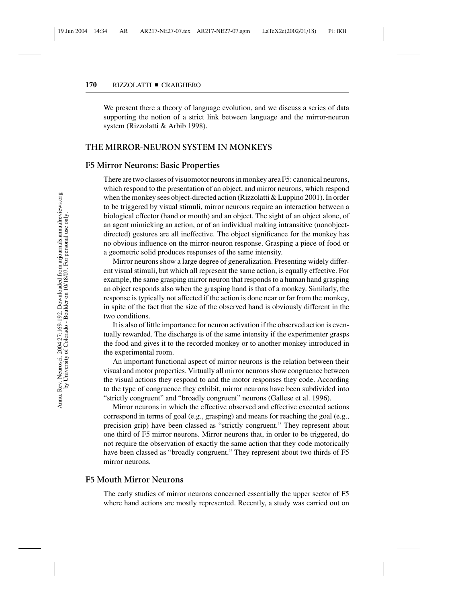We present there a theory of language evolution, and we discuss a series of data supporting the notion of a strict link between language and the mirror-neuron system (Rizzolatti & Arbib 1998).

#### **THE MIRROR-NEURON SYSTEM IN MONKEYS**

#### **F5 Mirror Neurons: Basic Properties**

There are two classes of visuomotor neuronsinmonkey area F5: canonical neurons, which respond to the presentation of an object, and mirror neurons, which respond when the monkey sees object-directed action (Rizzolatti  $&$  Luppino 2001). In order to be triggered by visual stimuli, mirror neurons require an interaction between a biological effector (hand or mouth) and an object. The sight of an object alone, of an agent mimicking an action, or of an individual making intransitive (nonobjectdirected) gestures are all ineffective. The object significance for the monkey has no obvious influence on the mirror-neuron response. Grasping a piece of food or a geometric solid produces responses of the same intensity.

Mirror neurons show a large degree of generalization. Presenting widely different visual stimuli, but which all represent the same action, is equally effective. For example, the same grasping mirror neuron that responds to a human hand grasping an object responds also when the grasping hand is that of a monkey. Similarly, the response is typically not affected if the action is done near or far from the monkey, in spite of the fact that the size of the observed hand is obviously different in the two conditions.

It is also of little importance for neuron activation if the observed action is eventually rewarded. The discharge is of the same intensity if the experimenter grasps the food and gives it to the recorded monkey or to another monkey introduced in the experimental room.

An important functional aspect of mirror neurons is the relation between their visual and motor properties. Virtually all mirror neuronsshow congruence between the visual actions they respond to and the motor responses they code. According to the type of congruence they exhibit, mirror neurons have been subdivided into "strictly congruent" and "broadly congruent" neurons (Gallese et al. 1996).

Mirror neurons in which the effective observed and effective executed actions correspond in terms of goal (e.g., grasping) and means for reaching the goal (e.g., precision grip) have been classed as "strictly congruent." They represent about one third of F5 mirror neurons. Mirror neurons that, in order to be triggered, do not require the observation of exactly the same action that they code motorically have been classed as "broadly congruent." They represent about two thirds of F5 mirror neurons.

#### **F5 Mouth Mirror Neurons**

The early studies of mirror neurons concerned essentially the upper sector of F5 where hand actions are mostly represented. Recently, a study was carried out on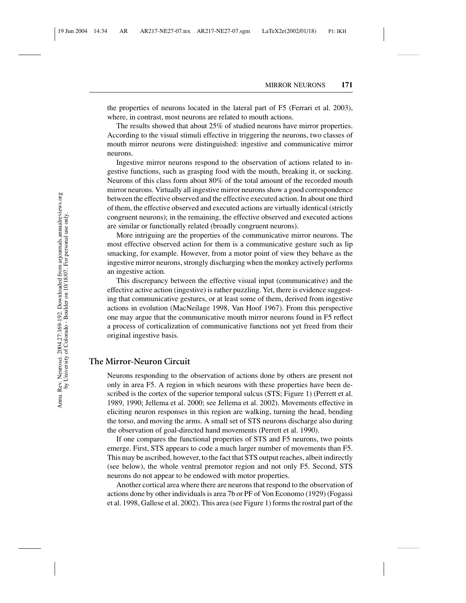the properties of neurons located in the lateral part of F5 (Ferrari et al. 2003), where, in contrast, most neurons are related to mouth actions.

The results showed that about 25% of studied neurons have mirror properties. According to the visual stimuli effective in triggering the neurons, two classes of mouth mirror neurons were distinguished: ingestive and communicative mirror neurons.

Ingestive mirror neurons respond to the observation of actions related to ingestive functions, such as grasping food with the mouth, breaking it, or sucking. Neurons of this class form about 80% of the total amount of the recorded mouth mirror neurons. Virtually all ingestive mirror neuronsshow a good correspondence between the effective observed and the effective executed action. In about one third of them, the effective observed and executed actions are virtually identical (strictly congruent neurons); in the remaining, the effective observed and executed actions are similar or functionally related (broadly congruent neurons).

More intriguing are the properties of the communicative mirror neurons. The most effective observed action for them is a communicative gesture such as lip smacking, for example. However, from a motor point of view they behave as the ingestive mirror neurons, strongly discharging when the monkey actively performs an ingestive action.

This discrepancy between the effective visual input (communicative) and the effective active action (ingestive) is rather puzzling. Yet, there is evidence suggesting that communicative gestures, or at least some of them, derived from ingestive actions in evolution (MacNeilage 1998, Van Hoof 1967). From this perspective one may argue that the communicative mouth mirror neurons found in F5 reflect a process of corticalization of communicative functions not yet freed from their original ingestive basis.

#### **The Mirror-Neuron Circuit**

Neurons responding to the observation of actions done by others are present not only in area F5. A region in which neurons with these properties have been described is the cortex of the superior temporal sulcus (STS; Figure 1) (Perrett et al. 1989, 1990; Jellema et al. 2000; see Jellema et al. 2002). Movements effective in eliciting neuron responses in this region are walking, turning the head, bending the torso, and moving the arms. A small set of STS neurons discharge also during the observation of goal-directed hand movements (Perrett et al. 1990).

If one compares the functional properties of STS and F5 neurons, two points emerge. First, STS appears to code a much larger number of movements than F5. This may be ascribed, however, to the fact that STS output reaches, albeit indirectly (see below), the whole ventral premotor region and not only F5. Second, STS neurons do not appear to be endowed with motor properties.

Another cortical area where there are neuronsthat respond to the observation of actions done by other individualsis area 7b or PF of Von Economo (1929) (Fogassi et al. 1998, Gallese et al. 2002). This area (see Figure 1) formsthe rostral part of the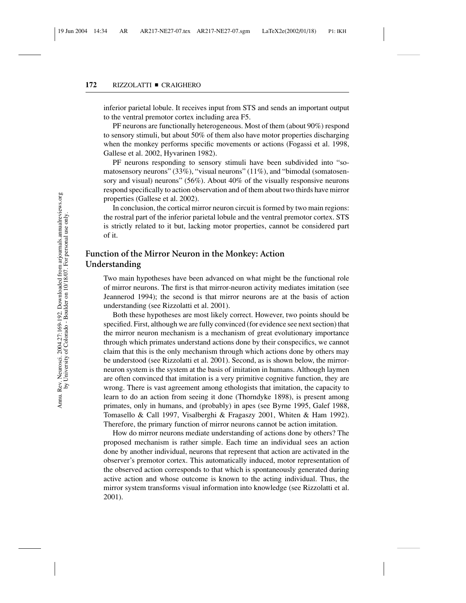inferior parietal lobule. It receives input from STS and sends an important output to the ventral premotor cortex including area F5.

PF neurons are functionally heterogeneous. Most of them (about 90%) respond to sensory stimuli, but about 50% of them also have motor properties discharging when the monkey performs specific movements or actions (Fogassi et al. 1998, Gallese et al. 2002, Hyvarinen 1982).

PF neurons responding to sensory stimuli have been subdivided into "somatosensory neurons" (33%), "visual neurons" (11%), and "bimodal (somatosensory and visual) neurons" (56%). About 40% of the visually responsive neurons respond specifically to action observation and of them about two thirds have mirror properties (Gallese et al. 2002).

In conclusion, the cortical mirror neuron circuit is formed by two main regions: the rostral part of the inferior parietal lobule and the ventral premotor cortex. STS is strictly related to it but, lacking motor properties, cannot be considered part of it.

## **Function of the Mirror Neuron in the Monkey: Action Understanding**

Two main hypotheses have been advanced on what might be the functional role of mirror neurons. The first is that mirror-neuron activity mediates imitation (see Jeannerod 1994); the second is that mirror neurons are at the basis of action understanding (see Rizzolatti et al. 2001).

Both these hypotheses are most likely correct. However, two points should be specified. First, although we are fully convinced (for evidence see next section) that the mirror neuron mechanism is a mechanism of great evolutionary importance through which primates understand actions done by their conspecifics, we cannot claim that this is the only mechanism through which actions done by others may be understood (see Rizzolatti et al. 2001). Second, as is shown below, the mirrorneuron system is the system at the basis of imitation in humans. Although laymen are often convinced that imitation is a very primitive cognitive function, they are wrong. There is vast agreement among ethologists that imitation, the capacity to learn to do an action from seeing it done (Thorndyke 1898), is present among primates, only in humans, and (probably) in apes (see Byrne 1995, Galef 1988, Tomasello & Call 1997, Visalberghi & Fragaszy 2001, Whiten & Ham 1992). Therefore, the primary function of mirror neurons cannot be action imitation.

How do mirror neurons mediate understanding of actions done by others? The proposed mechanism is rather simple. Each time an individual sees an action done by another individual, neurons that represent that action are activated in the observer's premotor cortex. This automatically induced, motor representation of the observed action corresponds to that which is spontaneously generated during active action and whose outcome is known to the acting individual. Thus, the mirror system transforms visual information into knowledge (see Rizzolatti et al. 2001).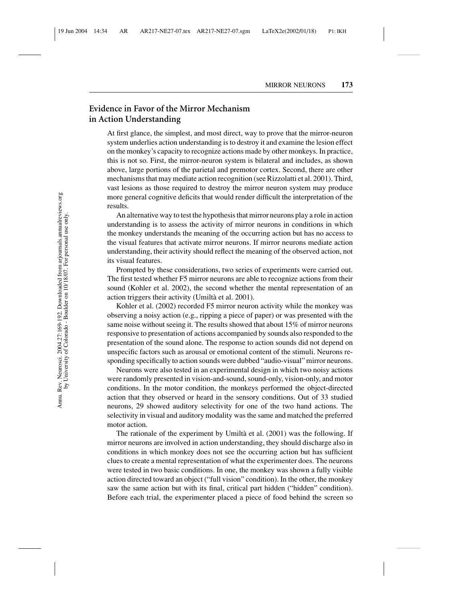## **Evidence in Favor of the Mirror Mechanism in Action Understanding**

At first glance, the simplest, and most direct, way to prove that the mirror-neuron system underlies action understanding isto destroy it and examine the lesion effect on the monkey's capacity to recognize actions made by other monkeys. In practice, this is not so. First, the mirror-neuron system is bilateral and includes, as shown above, large portions of the parietal and premotor cortex. Second, there are other mechanismsthat may mediate action recognition (seeRizzolatti et al. 2001). Third, vast lesions as those required to destroy the mirror neuron system may produce more general cognitive deficits that would render difficult the interpretation of the results.

An alternative way to test the hypothesis that mirror neurons play a role in action understanding is to assess the activity of mirror neurons in conditions in which the monkey understands the meaning of the occurring action but has no access to the visual features that activate mirror neurons. If mirror neurons mediate action understanding, their activity should reflect the meaning of the observed action, not its visual features.

Prompted by these considerations, two series of experiments were carried out. The first tested whether F5 mirror neurons are able to recognize actions from their sound (Kohler et al. 2002), the second whether the mental representation of an action triggers their activity (Umiltà et al. 2001).

Kohler et al. (2002) recorded F5 mirror neuron activity while the monkey was observing a noisy action (e.g., ripping a piece of paper) or was presented with the same noise without seeing it. The results showed that about  $15\%$  of mirror neurons responsive to presentation of actions accompanied by sounds also responded to the presentation of the sound alone. The response to action sounds did not depend on unspecific factors such as arousal or emotional content of the stimuli. Neurons responding specifically to action sounds were dubbed "audio-visual" mirror neurons.

Neurons were also tested in an experimental design in which two noisy actions were randomly presented in vision-and-sound, sound-only, vision-only, and motor conditions. In the motor condition, the monkeys performed the object-directed action that they observed or heard in the sensory conditions. Out of 33 studied neurons, 29 showed auditory selectivity for one of the two hand actions. The selectivity in visual and auditory modality wasthe same and matched the preferred motor action.

The rationale of the experiment by Umiltà et al. (2001) was the following. If mirror neurons are involved in action understanding, they should discharge also in conditions in which monkey does not see the occurring action but has sufficient clues to create a mental representation of what the experimenter does. The neurons were tested in two basic conditions. In one, the monkey was shown a fully visible action directed toward an object ("full vision" condition). In the other, the monkey saw the same action but with its final, critical part hidden ("hidden" condition). Before each trial, the experimenter placed a piece of food behind the screen so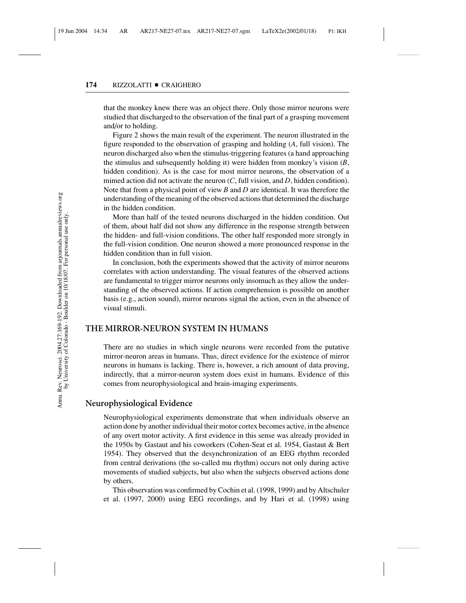that the monkey knew there was an object there. Only those mirror neurons were studied that discharged to the observation of the final part of a grasping movement and/or to holding.

Figure 2 shows the main result of the experiment. The neuron illustrated in the figure responded to the observation of grasping and holding (*A*, full vision). The neuron discharged also when the stimulus-triggering features (a hand approaching the stimulus and subsequently holding it) were hidden from monkey's vision (*B*, hidden condition). As is the case for most mirror neurons, the observation of a mimed action did not activate the neuron (*C*, full vision, and *D*, hidden condition). Note that from a physical point of view *B* and *D* are identical. It was therefore the understanding of the meaning of the observed actions that determined the discharge in the hidden condition.

More than half of the tested neurons discharged in the hidden condition. Out of them, about half did not show any difference in the response strength between the hidden- and full-vision conditions. The other half responded more strongly in the full-vision condition. One neuron showed a more pronounced response in the hidden condition than in full vision.

In conclusion, both the experiments showed that the activity of mirror neurons correlates with action understanding. The visual features of the observed actions are fundamental to trigger mirror neurons only insomuch as they allow the understanding of the observed actions. If action comprehension is possible on another basis (e.g., action sound), mirror neurons signal the action, even in the absence of visual stimuli.

## **THE MIRROR-NEURON SYSTEM IN HUMANS**

There are no studies in which single neurons were recorded from the putative mirror-neuron areas in humans. Thus, direct evidence for the existence of mirror neurons in humans is lacking. There is, however, a rich amount of data proving, indirectly, that a mirror-neuron system does exist in humans. Evidence of this comes from neurophysiological and brain-imaging experiments.

## **Neurophysiological Evidence**

Neurophysiological experiments demonstrate that when individuals observe an action done by another individual their motor cortex becomes active, in the absence of any overt motor activity. A first evidence in this sense was already provided in the 1950s by Gastaut and his coworkers (Cohen-Seat et al. 1954, Gastaut & Bert 1954). They observed that the desynchronization of an EEG rhythm recorded from central derivations (the so-called mu rhythm) occurs not only during active movements of studied subjects, but also when the subjects observed actions done by others.

This observation was confirmed by Cochin et al. (1998, 1999) and by Altschuler et al. (1997, 2000) using EEG recordings, and by Hari et al. (1998) using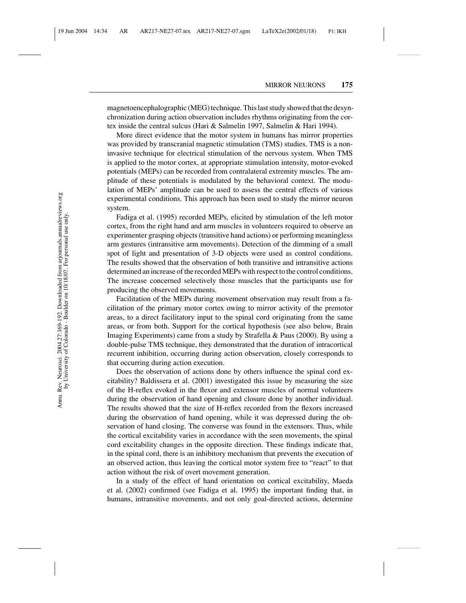magnetoencephalographic (MEG) technique. This last study showed that the desynchronization during action observation includes rhythms originating from the cortex inside the central sulcus (Hari & Salmelin 1997, Salmelin & Hari 1994).

More direct evidence that the motor system in humans has mirror properties was provided by transcranial magnetic stimulation (TMS) studies. TMS is a noninvasive technique for electrical stimulation of the nervous system. When TMS is applied to the motor cortex, at appropriate stimulation intensity, motor-evoked potentials (MEPs) can be recorded from contralateral extremity muscles. The amplitude of these potentials is modulated by the behavioral context. The modulation of MEPs' amplitude can be used to assess the central effects of various experimental conditions. This approach has been used to study the mirror neuron system.

Fadiga et al. (1995) recorded MEPs, elicited by stimulation of the left motor cortex, from the right hand and arm muscles in volunteers required to observe an experimenter grasping objects(transitive hand actions) or performing meaningless arm gestures (intransitive arm movements). Detection of the dimming of a small spot of light and presentation of 3-D objects were used as control conditions. The results showed that the observation of both transitive and intransitive actions determined an increase ofthe recorded MEPs with respect to the control conditions. The increase concerned selectively those muscles that the participants use for producing the observed movements.

Facilitation of the MEPs during movement observation may result from a facilitation of the primary motor cortex owing to mirror activity of the premotor areas, to a direct facilitatory input to the spinal cord originating from the same areas, or from both. Support for the cortical hypothesis (see also below, Brain Imaging Experiments) came from a study by Strafella & Paus (2000). By using a double-pulse TMS technique, they demonstrated that the duration of intracortical recurrent inhibition, occurring during action observation, closely corresponds to that occurring during action execution.

Does the observation of actions done by others influence the spinal cord excitability? Baldissera et al. (2001) investigated this issue by measuring the size of the H-reflex evoked in the flexor and extensor muscles of normal volunteers during the observation of hand opening and closure done by another individual. The results showed that the size of H-reflex recorded from the flexors increased during the observation of hand opening, while it was depressed during the observation of hand closing. The converse was found in the extensors. Thus, while the cortical excitability varies in accordance with the seen movements, the spinal cord excitability changes in the opposite direction. These findings indicate that, in the spinal cord, there is an inhibitory mechanism that prevents the execution of an observed action, thus leaving the cortical motor system free to "react" to that action without the risk of overt movement generation.

In a study of the effect of hand orientation on cortical excitability, Maeda et al. (2002) confirmed (see Fadiga et al. 1995) the important finding that, in humans, intransitive movements, and not only goal-directed actions, determine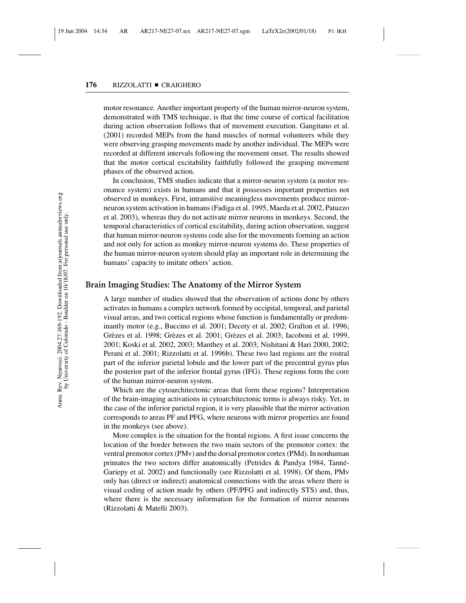motor resonance. Another important property of the human mirror-neuron system, demonstrated with TMS technique, is that the time course of cortical facilitation during action observation follows that of movement execution. Gangitano et al. (2001) recorded MEPs from the hand muscles of normal volunteers while they were observing grasping movements made by another individual. The MEPs were recorded at different intervals following the movement onset. The results showed that the motor cortical excitability faithfully followed the grasping movement phases of the observed action.

In conclusion, TMS studies indicate that a mirror-neuron system (a motor resonance system) exists in humans and that it possesses important properties not observed in monkeys. First, intransitive meaningless movements produce mirrorneuron system activation in humans(Fadiga et al. 1995, Maeda et al. 2002, Patuzzo et al. 2003), whereas they do not activate mirror neurons in monkeys. Second, the temporal characteristics of cortical excitability, during action observation, suggest that human mirror-neuron systems code also for the movements forming an action and not only for action as monkey mirror-neuron systems do. These properties of the human mirror-neuron system should play an important role in determining the humans' capacity to imitate others' action.

## **Brain Imaging Studies: The Anatomy of the Mirror System**

A large number of studies showed that the observation of actions done by others activates in humans a complex network formed by occipital, temporal, and parietal visual areas, and two cortical regions whose function is fundamentally or predominantly motor (e.g., Buccino et al. 2001; Decety et al. 2002; Grafton et al. 1996; Grèzes et al. 1998; Grèzes et al. 2001; Grèzes et al. 2003; Iacoboni et al. 1999, 2001; Koski et al. 2002, 2003; Manthey et al. 2003; Nishitani & Hari 2000, 2002; Perani et al. 2001; Rizzolatti et al. 1996b). These two last regions are the rostral part of the inferior parietal lobule and the lower part of the precentral gyrus plus the posterior part of the inferior frontal gyrus (IFG). These regions form the core of the human mirror-neuron system.

Which are the cytoarchitectonic areas that form these regions? Interpretation of the brain-imaging activations in cytoarchitectonic terms is always risky. Yet, in the case of the inferior parietal region, it is very plausible that the mirror activation corresponds to areas PF and PFG, where neurons with mirror properties are found in the monkeys (see above).

More complex is the situation for the frontal regions. A first issue concerns the location of the border between the two main sectors of the premotor cortex: the ventral premotor cortex (PMv) and the dorsal premotor cortex (PMd). In nonhuman primates the two sectors differ anatomically (Petrides  $\&$  Pandya 1984, Tanné-Gariepy et al. 2002) and functionally (see Rizzolatti et al. 1998). Of them, PMv only has (direct or indirect) anatomical connections with the areas where there is visual coding of action made by others (PF/PFG and indirectly STS) and, thus, where there is the necessary information for the formation of mirror neurons (Rizzolatti & Matelli 2003).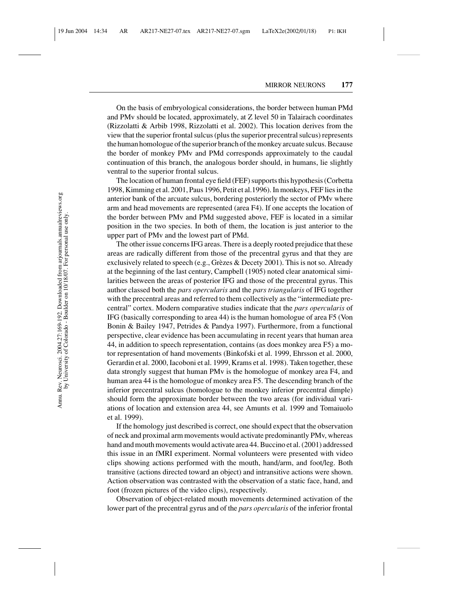On the basis of embryological considerations, the border between human PMd and PMv should be located, approximately, at Z level 50 in Talairach coordinates (Rizzolatti & Arbib 1998, Rizzolatti et al. 2002). This location derives from the view that the superior frontal sulcus (plus the superior precentral sulcus) represents the human homologue of the superior branch of the monkey arcuate sulcus. Because the border of monkey PMv and PMd corresponds approximately to the caudal continuation of this branch, the analogous border should, in humans, lie slightly ventral to the superior frontal sulcus.

The location of human frontal eye field (FEF) supports this hypothesis (Corbetta 1998, Kimming et al. 2001, Paus 1996, Petit et al.1996).In monkeys, FEF liesin the anterior bank of the arcuate sulcus, bordering posteriorly the sector of PMv where arm and head movements are represented (area F4). If one accepts the location of the border between PMv and PMd suggested above, FEF is located in a similar position in the two species. In both of them, the location is just anterior to the upper part of PMv and the lowest part of PMd.

The other issue concerns IFG areas. There is a deeply rooted prejudice that these areas are radically different from those of the precentral gyrus and that they are exclusively related to speech (e.g., Grèzes  $\&$  Decety 2001). This is not so. Already at the beginning of the last century, Campbell (1905) noted clear anatomical similarities between the areas of posterior IFG and those of the precentral gyrus. This author classed both the *pars opercularis* and the *pars triangularis* of IFG together with the precentral areas and referred to them collectively as the "intermediate precentral" cortex. Modern comparative studies indicate that the *pars opercularis* of IFG (basically corresponding to area 44) is the human homologue of area F5 (Von Bonin & Bailey 1947, Petrides & Pandya 1997). Furthermore, from a functional perspective, clear evidence has been accumulating in recent years that human area 44, in addition to speech representation, contains (as does monkey area F5) a motor representation of hand movements (Binkofski et al. 1999, Ehrsson et al. 2000, Gerardin et al. 2000, Iacoboni et al. 1999, Krams et al. 1998). Taken together, these data strongly suggest that human PMv is the homologue of monkey area F4, and human area 44 is the homologue of monkey area F5. The descending branch of the inferior precentral sulcus (homologue to the monkey inferior precentral dimple) should form the approximate border between the two areas (for individual variations of location and extension area 44, see Amunts et al. 1999 and Tomaiuolo et al. 1999).

If the homology just described is correct, one should expect that the observation of neck and proximal arm movements would activate predominantly PMv, whereas hand and mouth movements would activate area 44. Buccino et al. (2001) addressed this issue in an fMRI experiment. Normal volunteers were presented with video clips showing actions performed with the mouth, hand/arm, and foot/leg. Both transitive (actions directed toward an object) and intransitive actions were shown. Action observation was contrasted with the observation of a static face, hand, and foot (frozen pictures of the video clips), respectively.

Observation of object-related mouth movements determined activation of the lower part of the precentral gyrus and of the *pars opercularis* of the inferior frontal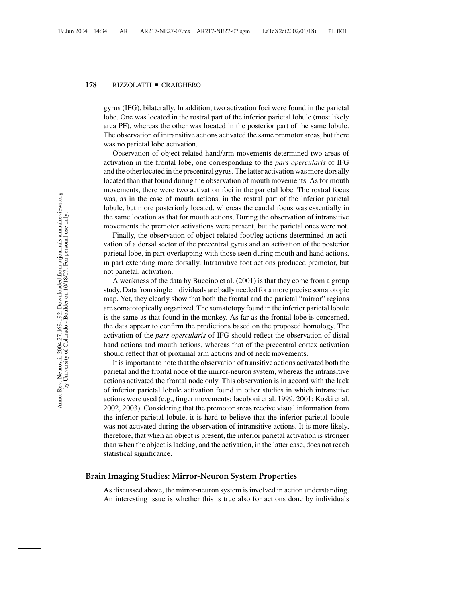gyrus (IFG), bilaterally. In addition, two activation foci were found in the parietal lobe. One was located in the rostral part of the inferior parietal lobule (most likely area PF), whereas the other was located in the posterior part of the same lobule. The observation of intransitive actions activated the same premotor areas, but there was no parietal lobe activation.

Observation of object-related hand/arm movements determined two areas of activation in the frontal lobe, one corresponding to the *pars opercularis* of IFG and the other located in the precentral gyrus. The latter activation was more dorsally located than that found during the observation of mouth movements. As for mouth movements, there were two activation foci in the parietal lobe. The rostral focus was, as in the case of mouth actions, in the rostral part of the inferior parietal lobule, but more posteriorly located, whereas the caudal focus was essentially in the same location as that for mouth actions. During the observation of intransitive movements the premotor activations were present, but the parietal ones were not.

Finally, the observation of object-related foot/leg actions determined an activation of a dorsal sector of the precentral gyrus and an activation of the posterior parietal lobe, in part overlapping with those seen during mouth and hand actions, in part extending more dorsally. Intransitive foot actions produced premotor, but not parietal, activation.

A weakness of the data by Buccino et al. (2001) is that they come from a group study. Data fromsingle individuals are badly needed for amore precise somatotopic map. Yet, they clearly show that both the frontal and the parietal "mirror" regions are somatotopically organized. The somatotopy found in the inferior parietal lobule is the same as that found in the monkey. As far as the frontal lobe is concerned, the data appear to confirm the predictions based on the proposed homology. The activation of the *pars opercularis* of IFG should reflect the observation of distal hand actions and mouth actions, whereas that of the precentral cortex activation should reflect that of proximal arm actions and of neck movements.

It is important to note that the observation of transitive actions activated both the parietal and the frontal node of the mirror-neuron system, whereas the intransitive actions activated the frontal node only. This observation is in accord with the lack of inferior parietal lobule activation found in other studies in which intransitive actions were used (e.g., finger movements; Iacoboni et al. 1999, 2001; Koski et al. 2002, 2003). Considering that the premotor areas receive visual information from the inferior parietal lobule, it is hard to believe that the inferior parietal lobule was not activated during the observation of intransitive actions. It is more likely, therefore, that when an object is present, the inferior parietal activation is stronger than when the object islacking, and the activation, in the latter case, does not reach statistical significance.

#### **Brain Imaging Studies: Mirror-Neuron System Properties**

As discussed above, the mirror-neuron system is involved in action understanding. An interesting issue is whether this is true also for actions done by individuals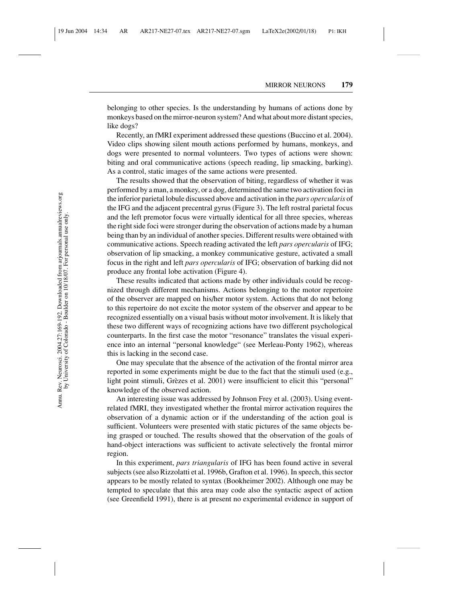belonging to other species. Is the understanding by humans of actions done by monkeys based on the mirror-neuron system? And what about more distant species, like dogs?

Recently, an fMRI experiment addressed these questions (Buccino et al. 2004). Video clips showing silent mouth actions performed by humans, monkeys, and dogs were presented to normal volunteers. Two types of actions were shown: biting and oral communicative actions (speech reading, lip smacking, barking). As a control, static images of the same actions were presented.

The results showed that the observation of biting, regardless of whether it was performed by a man, a monkey, or a dog, determined the same two activation foci in the inferior parietal lobule discussed above and activation in the *pars opercularis* of the IFG and the adjacent precentral gyrus (Figure 3). The left rostral parietal focus and the left premotor focus were virtually identical for all three species, whereas the right side foci were stronger during the observation of actions made by a human being than by an individual of another species. Different results were obtained with communicative actions. Speech reading activated the left *pars opercularis* of IFG; observation of lip smacking, a monkey communicative gesture, activated a small focus in the right and left *pars opercularis* of IFG; observation of barking did not produce any frontal lobe activation (Figure 4).

These results indicated that actions made by other individuals could be recognized through different mechanisms. Actions belonging to the motor repertoire of the observer are mapped on his/her motor system. Actions that do not belong to this repertoire do not excite the motor system of the observer and appear to be recognized essentially on a visual basis without motor involvement. It islikely that these two different ways of recognizing actions have two different psychological counterparts. In the first case the motor "resonance" translates the visual experience into an internal "personal knowledge" (see Merleau-Ponty 1962), whereas this is lacking in the second case.

One may speculate that the absence of the activation of the frontal mirror area reported in some experiments might be due to the fact that the stimuli used (e.g., light point stimuli, Grèzes et al. 2001) were insufficient to elicit this "personal" knowledge of the observed action.

An interesting issue was addressed by Johnson Frey et al. (2003). Using eventrelated fMRI, they investigated whether the frontal mirror activation requires the observation of a dynamic action or if the understanding of the action goal is sufficient. Volunteers were presented with static pictures of the same objects being grasped or touched. The results showed that the observation of the goals of hand-object interactions was sufficient to activate selectively the frontal mirror region.

In this experiment, *pars triangularis* of IFG has been found active in several subjects (see also Rizzolatti et al. 1996b, Grafton et al. 1996). In speech, this sector appears to be mostly related to syntax (Bookheimer 2002). Although one may be tempted to speculate that this area may code also the syntactic aspect of action (see Greenfield 1991), there is at present no experimental evidence in support of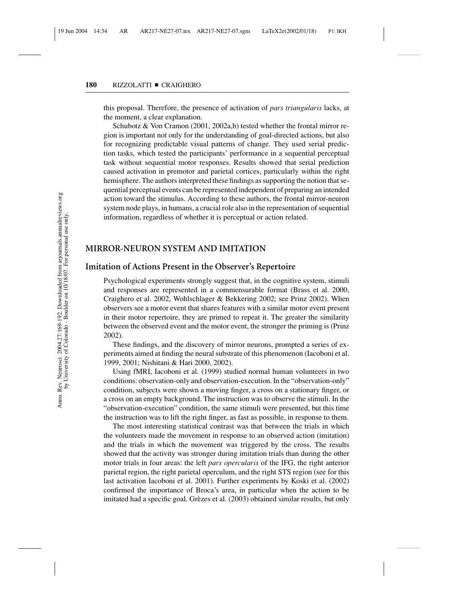this proposal. Therefore, the presence of activation of *pars triangularis* lacks, at the moment, a clear explanation.

Schubotz & Von Cramon (2001, 2002a,b) tested whether the frontal mirror region is important not only for the understanding of goal-directed actions, but also for recognizing predictable visual patterns of change. They used serial prediction tasks, which tested the participants' performance in a sequential perceptual task without sequential motor responses. Results showed that serial prediction caused activation in premotor and parietal cortices, particularly within the right hemisphere. The authors interpreted these findings as supporting the notion that sequential perceptual events can be represented independent of preparing an intended action toward the stimulus. According to these authors, the frontal mirror-neuron system node plays, in humans, a crucial role also in the representation of sequential information, regardless of whether it is perceptual or action related.

## **MIRROR-NEURON SYSTEM AND IMITATION**

#### **Imitation of Actions Present in the Observer's Repertoire**

Psychological experiments strongly suggest that, in the cognitive system, stimuli and responses are represented in a commensurable format (Brass et al. 2000, Craighero et al. 2002, Wohlschlager & Bekkering 2002; see Prinz 2002). When observers see a motor event that shares features with a similar motor event present in their motor repertoire, they are primed to repeat it. The greater the similarity between the observed event and the motor event, the stronger the priming is (Prinz 2002).

These findings, and the discovery of mirror neurons, prompted a series of experiments aimed at finding the neural substrate of this phenomenon (Iacoboni et al. 1999, 2001; Nishitani & Hari 2000, 2002).

Using fMRI, Iacoboni et al. (1999) studied normal human volunteers in two conditions: observation-only and observation-execution. In the "observation-only" condition, subjects were shown a moving finger, a cross on a stationary finger, or a cross on an empty background. The instruction was to observe the stimuli. In the "observation-execution" condition, the same stimuli were presented, but this time the instruction was to lift the right finger, as fast as possible, in response to them.

The most interesting statistical contrast was that between the trials in which the volunteers made the movement in response to an observed action (imitation) and the trials in which the movement was triggered by the cross. The results showed that the activity was stronger during imitation trials than during the other motor trials in four areas: the left *pars opercularis* of the IFG, the right anterior parietal region, the right parietal operculum, and the right STS region (see for this last activation Iacoboni et al. 2001). Further experiments by Koski et al. (2002) confirmed the importance of Broca's area, in particular when the action to be imitated had a specific goal. Grèzes et al. (2003) obtained similar results, but only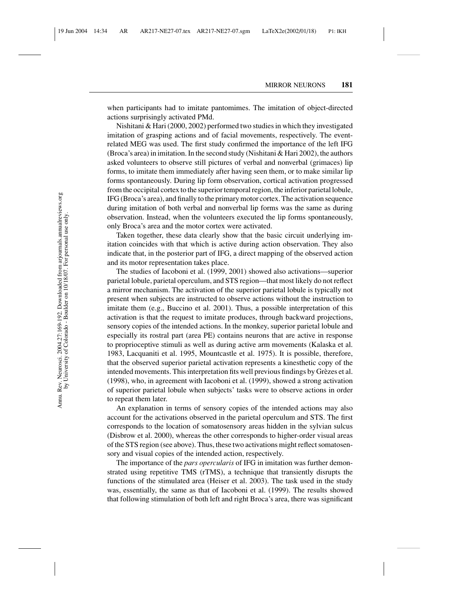when participants had to imitate pantomimes. The imitation of object-directed actions surprisingly activated PMd.

Nishitani & Hari (2000, 2002) performed two studiesin which they investigated imitation of grasping actions and of facial movements, respectively. The eventrelated MEG was used. The first study confirmed the importance of the left IFG (Broca's area) in imitation. In the second study (Nishitani & Hari 2002), the authors asked volunteers to observe still pictures of verbal and nonverbal (grimaces) lip forms, to imitate them immediately after having seen them, or to make similar lip forms spontaneously. During lip form observation, cortical activation progressed from the occipital cortex to the superior temporal region, the inferior parietal lobule, IFG (Broca's area), and finally to the primarymotor cortex.The activation sequence during imitation of both verbal and nonverbal lip forms was the same as during observation. Instead, when the volunteers executed the lip forms spontaneously, only Broca's area and the motor cortex were activated.

Taken together, these data clearly show that the basic circuit underlying imitation coincides with that which is active during action observation. They also indicate that, in the posterior part of IFG, a direct mapping of the observed action and its motor representation takes place.

The studies of Iacoboni et al. (1999, 2001) showed also activations—superior parietal lobule, parietal operculum, and STS region—that most likely do not reflect a mirror mechanism. The activation of the superior parietal lobule is typically not present when subjects are instructed to observe actions without the instruction to imitate them (e.g., Buccino et al. 2001). Thus, a possible interpretation of this activation is that the request to imitate produces, through backward projections, sensory copies of the intended actions. In the monkey, superior parietal lobule and especially its rostral part (area PE) contains neurons that are active in response to proprioceptive stimuli as well as during active arm movements (Kalaska et al. 1983, Lacquaniti et al. 1995, Mountcastle et al. 1975). It is possible, therefore, that the observed superior parietal activation represents a kinesthetic copy of the intended movements. This interpretation fits well previous findings by Grèzes et al. (1998), who, in agreement with Iacoboni et al. (1999), showed a strong activation of superior parietal lobule when subjects' tasks were to observe actions in order to repeat them later.

An explanation in terms of sensory copies of the intended actions may also account for the activations observed in the parietal operculum and STS. The first corresponds to the location of somatosensory areas hidden in the sylvian sulcus (Disbrow et al. 2000), whereas the other corresponds to higher-order visual areas of the STS region (see above). Thus, these two activations might reflect somatosensory and visual copies of the intended action, respectively.

The importance of the *pars opercularis* of IFG in imitation was further demonstrated using repetitive TMS (rTMS), a technique that transiently disrupts the functions of the stimulated area (Heiser et al. 2003). The task used in the study was, essentially, the same as that of Iacoboni et al. (1999). The results showed that following stimulation of both left and right Broca's area, there was significant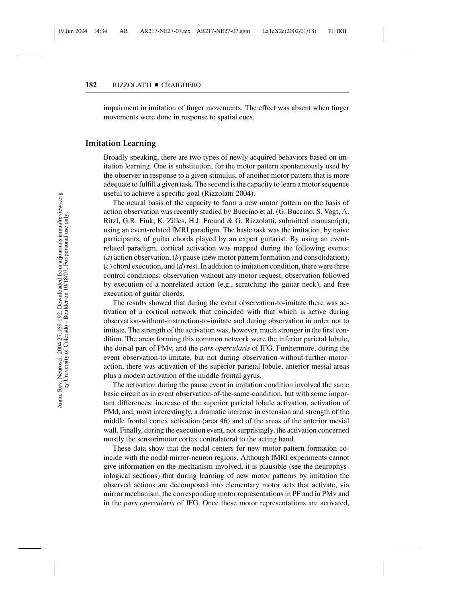impairment in imitation of finger movements. The effect was absent when finger movements were done in response to spatial cues.

### **Imitation Learning**

Broadly speaking, there are two types of newly acquired behaviors based on imitation learning. One is substitution, for the motor pattern spontaneously used by the observer in response to a given stimulus, of another motor pattern that is more adequate to fulfill a given task. The second is the capacity to learn a motor sequence useful to achieve a specific goal (Rizzolatti 2004).

The neural basis of the capacity to form a new motor pattern on the basis of action observation was recently studied by Buccino et al. (G. Buccino, S. Vogt, A. Ritzl, G.R. Fink, K. Zilles, H.J. Freund & G. Rizzolatti, submitted manuscript), using an event-related fMRI paradigm. The basic task was the imitation, by naive participants, of guitar chords played by an expert guitarist. By using an eventrelated paradigm, cortical activation was mapped during the following events: (*a*) action observation, (*b*) pause (new motor pattern formation and consolidation),  $(c)$  chord execution, and  $(d)$  rest. In addition to imitation condition, there were three control conditions: observation without any motor request, observation followed by execution of a nonrelated action (e.g., scratching the guitar neck), and free execution of guitar chords.

The results showed that during the event observation-to-imitate there was activation of a cortical network that coincided with that which is active during observation-without-instruction-to-imitate and during observation in order not to imitate. The strength of the activation was, however, much stronger in the first condition. The areas forming this common network were the inferior parietal lobule, the dorsal part of PMv, and the *pars opercularis* of IFG. Furthermore, during the event observation-to-imitate, but not during observation-without-further-motoraction, there was activation of the superior parietal lobule, anterior mesial areas plus a modest activation of the middle frontal gyrus.

The activation during the pause event in imitation condition involved the same basic circuit as in event observation-of-the-same-condition, but with some important differences: increase of the superior parietal lobule activation, activation of PMd, and, most interestingly, a dramatic increase in extension and strength of the middle frontal cortex activation (area 46) and of the areas of the anterior mesial wall. Finally, during the execution event, not surprisingly, the activation concerned mostly the sensorimotor cortex contralateral to the acting hand.

These data show that the nodal centers for new motor pattern formation coincide with the nodal mirror-neuron regions. Although fMRI experiments cannot give information on the mechanism involved, it is plausible (see the neurophysiological sections) that during learning of new motor patterns by imitation the observed actions are decomposed into elementary motor acts that activate, via mirror mechanism, the corresponding motor representations in PF and in PMv and in the *pars opercularis* of IFG. Once these motor representations are activated,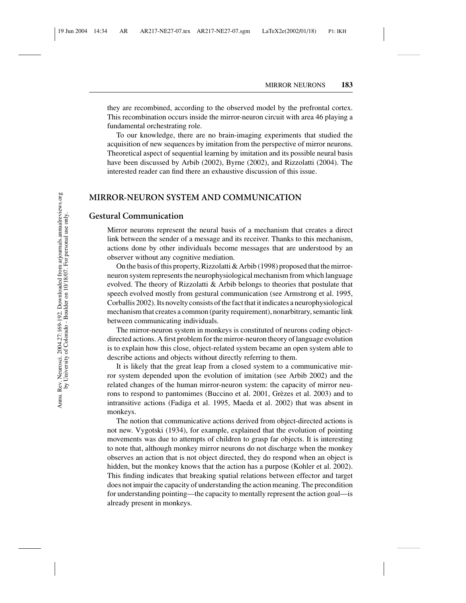they are recombined, according to the observed model by the prefrontal cortex. This recombination occurs inside the mirror-neuron circuit with area 46 playing a fundamental orchestrating role.

To our knowledge, there are no brain-imaging experiments that studied the acquisition of new sequences by imitation from the perspective of mirror neurons. Theoretical aspect of sequential learning by imitation and its possible neural basis have been discussed by Arbib (2002), Byrne (2002), and Rizzolatti (2004). The interested reader can find there an exhaustive discussion of this issue.

## **MIRROR-NEURON SYSTEM AND COMMUNICATION**

#### **Gestural Communication**

Mirror neurons represent the neural basis of a mechanism that creates a direct link between the sender of a message and its receiver. Thanks to this mechanism, actions done by other individuals become messages that are understood by an observer without any cognitive mediation.

On the basis of this property, Rizzolatti & Arbib (1998) proposed that the mirrorneuron system represents the neurophysiological mechanism from which language evolved. The theory of Rizzolatti & Arbib belongs to theories that postulate that speech evolved mostly from gestural communication (see Armstrong et al. 1995, Corballis 2002). Its novelty consists of the fact that it indicates a neurophysiological mechanism that creates a common (parity requirement), nonarbitrary, semantic link between communicating individuals.

The mirror-neuron system in monkeys is constituted of neurons coding objectdirected actions. A first problem for the mirror-neuron theory of language evolution is to explain how this close, object-related system became an open system able to describe actions and objects without directly referring to them.

It is likely that the great leap from a closed system to a communicative mirror system depended upon the evolution of imitation (see Arbib 2002) and the related changes of the human mirror-neuron system: the capacity of mirror neurons to respond to pantomimes (Buccino et al. 2001, Grèzes et al. 2003) and to intransitive actions (Fadiga et al. 1995, Maeda et al. 2002) that was absent in monkeys.

The notion that communicative actions derived from object-directed actions is not new. Vygotski (1934), for example, explained that the evolution of pointing movements was due to attempts of children to grasp far objects. It is interesting to note that, although monkey mirror neurons do not discharge when the monkey observes an action that is not object directed, they do respond when an object is hidden, but the monkey knows that the action has a purpose (Kohler et al. 2002). This finding indicates that breaking spatial relations between effector and target does not impair the capacity of understanding the action meaning. The precondition for understanding pointing—the capacity to mentally represent the action goal—is already present in monkeys.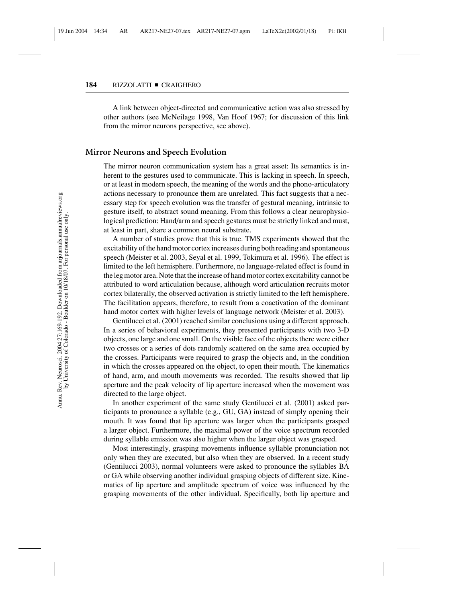A link between object-directed and communicative action was also stressed by other authors (see McNeilage 1998, Van Hoof 1967; for discussion of this link from the mirror neurons perspective, see above).

### **Mirror Neurons and Speech Evolution**

The mirror neuron communication system has a great asset: Its semantics is inherent to the gestures used to communicate. This is lacking in speech. In speech, or at least in modern speech, the meaning of the words and the phono-articulatory actions necessary to pronounce them are unrelated. This fact suggests that a necessary step for speech evolution was the transfer of gestural meaning, intrinsic to gesture itself, to abstract sound meaning. From this follows a clear neurophysiological prediction: Hand/arm and speech gestures must be strictly linked and must, at least in part, share a common neural substrate.

A number of studies prove that this is true. TMS experiments showed that the excitability of the hand motor cortex increases during both reading and spontaneous speech (Meister et al. 2003, Seyal et al. 1999, Tokimura et al. 1996). The effect is limited to the left hemisphere. Furthermore, no language-related effect is found in the leg motor area. Note that the increase of hand motor cortex excitability cannot be attributed to word articulation because, although word articulation recruits motor cortex bilaterally, the observed activation is strictly limited to the left hemisphere. The facilitation appears, therefore, to result from a coactivation of the dominant hand motor cortex with higher levels of language network (Meister et al. 2003).

Gentilucci et al. (2001) reached similar conclusions using a different approach. In a series of behavioral experiments, they presented participants with two 3-D objects, one large and one small. On the visible face of the objects there were either two crosses or a series of dots randomly scattered on the same area occupied by the crosses. Participants were required to grasp the objects and, in the condition in which the crosses appeared on the object, to open their mouth. The kinematics of hand, arm, and mouth movements was recorded. The results showed that lip aperture and the peak velocity of lip aperture increased when the movement was directed to the large object.

In another experiment of the same study Gentilucci et al. (2001) asked participants to pronounce a syllable (e.g., GU, GA) instead of simply opening their mouth. It was found that lip aperture was larger when the participants grasped a larger object. Furthermore, the maximal power of the voice spectrum recorded during syllable emission was also higher when the larger object was grasped.

Most interestingly, grasping movements influence syllable pronunciation not only when they are executed, but also when they are observed. In a recent study (Gentilucci 2003), normal volunteers were asked to pronounce the syllables BA or GA while observing another individual grasping objects of different size. Kinematics of lip aperture and amplitude spectrum of voice was influenced by the grasping movements of the other individual. Specifically, both lip aperture and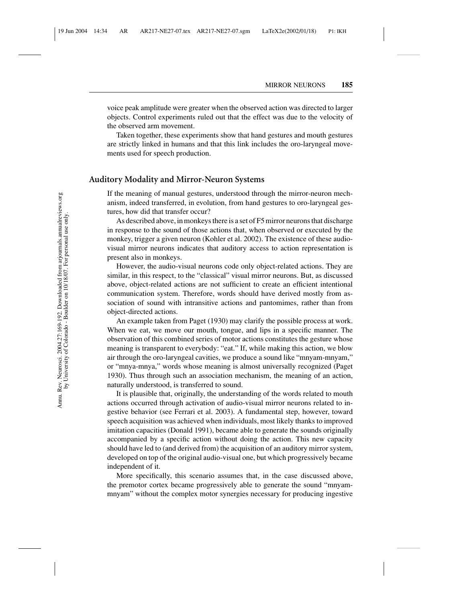voice peak amplitude were greater when the observed action was directed to larger objects. Control experiments ruled out that the effect was due to the velocity of the observed arm movement.

Taken together, these experiments show that hand gestures and mouth gestures are strictly linked in humans and that this link includes the oro-laryngeal movements used for speech production.

### **Auditory Modality and Mirror-Neuron Systems**

If the meaning of manual gestures, understood through the mirror-neuron mechanism, indeed transferred, in evolution, from hand gestures to oro-laryngeal gestures, how did that transfer occur?

As described above, in monkeys there is a set of F5 mirror neurons that discharge in response to the sound of those actions that, when observed or executed by the monkey, trigger a given neuron (Kohler et al. 2002). The existence of these audiovisual mirror neurons indicates that auditory access to action representation is present also in monkeys.

However, the audio-visual neurons code only object-related actions. They are similar, in this respect, to the "classical" visual mirror neurons. But, as discussed above, object-related actions are not sufficient to create an efficient intentional communication system. Therefore, words should have derived mostly from association of sound with intransitive actions and pantomimes, rather than from object-directed actions.

An example taken from Paget (1930) may clarify the possible process at work. When we eat, we move our mouth, tongue, and lips in a specific manner. The observation of this combined series of motor actions constitutes the gesture whose meaning is transparent to everybody: "eat." If, while making this action, we blow air through the oro-laryngeal cavities, we produce a sound like "mnyam-mnyam," or "mnya-mnya," words whose meaning is almost universally recognized (Paget 1930). Thus through such an association mechanism, the meaning of an action, naturally understood, is transferred to sound.

It is plausible that, originally, the understanding of the words related to mouth actions occurred through activation of audio-visual mirror neurons related to ingestive behavior (see Ferrari et al. 2003). A fundamental step, however, toward speech acquisition was achieved when individuals, most likely thanks to improved imitation capacities (Donald 1991), became able to generate the sounds originally accompanied by a specific action without doing the action. This new capacity should have led to (and derived from) the acquisition of an auditory mirror system, developed on top of the original audio-visual one, but which progressively became independent of it.

More specifically, this scenario assumes that, in the case discussed above, the premotor cortex became progressively able to generate the sound "mnyammnyam" without the complex motor synergies necessary for producing ingestive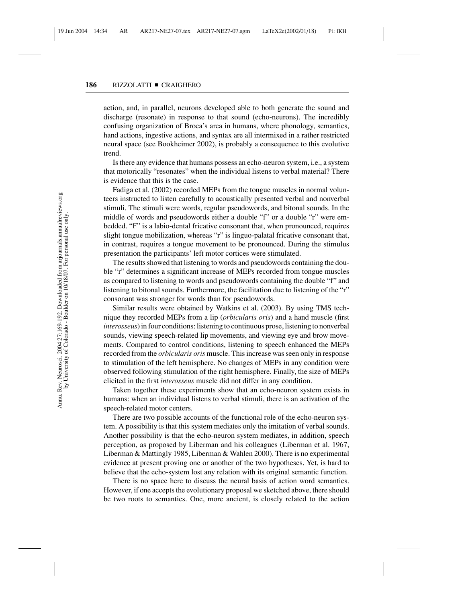action, and, in parallel, neurons developed able to both generate the sound and discharge (resonate) in response to that sound (echo-neurons). The incredibly confusing organization of Broca's area in humans, where phonology, semantics, hand actions, ingestive actions, and syntax are all intermixed in a rather restricted neural space (see Bookheimer 2002), is probably a consequence to this evolutive trend.

Is there any evidence that humans possess an echo-neuron system, i.e., a system that motorically "resonates" when the individual listens to verbal material? There is evidence that this is the case.

Fadiga et al. (2002) recorded MEPs from the tongue muscles in normal volunteers instructed to listen carefully to acoustically presented verbal and nonverbal stimuli. The stimuli were words, regular pseudowords, and bitonal sounds. In the middle of words and pseudowords either a double "f" or a double "r" were embedded. "F" is a labio-dental fricative consonant that, when pronounced, requires slight tongue mobilization, whereas "r" is linguo-palatal fricative consonant that, in contrast, requires a tongue movement to be pronounced. During the stimulus presentation the participants' left motor cortices were stimulated.

The results showed that listening to words and pseudowords containing the double "r" determines a significant increase of MEPs recorded from tongue muscles as compared to listening to words and pseudowords containing the double "f" and listening to bitonal sounds. Furthermore, the facilitation due to listening of the "r" consonant was stronger for words than for pseudowords.

Similar results were obtained by Watkins et al. (2003). By using TMS technique they recorded MEPs from a lip (*orbicularis oris*) and a hand muscle (first *interosseus*)in four conditions: listening to continuous prose, listening to nonverbal sounds, viewing speech-related lip movements, and viewing eye and brow movements. Compared to control conditions, listening to speech enhanced the MEPs recorded from the *orbicularis oris* muscle. Thisincrease wasseen only in response to stimulation of the left hemisphere. No changes of MEPs in any condition were observed following stimulation of the right hemisphere. Finally, the size of MEPs elicited in the first *interosseus* muscle did not differ in any condition.

Taken together these experiments show that an echo-neuron system exists in humans: when an individual listens to verbal stimuli, there is an activation of the speech-related motor centers.

There are two possible accounts of the functional role of the echo-neuron system. A possibility is that this system mediates only the imitation of verbal sounds. Another possibility is that the echo-neuron system mediates, in addition, speech perception, as proposed by Liberman and his colleagues (Liberman et al. 1967, Liberman & Mattingly 1985, Liberman & Wahlen 2000). There is no experimental evidence at present proving one or another of the two hypotheses. Yet, is hard to believe that the echo-system lost any relation with its original semantic function.

There is no space here to discuss the neural basis of action word semantics. However, if one accepts the evolutionary proposal we sketched above, there should be two roots to semantics. One, more ancient, is closely related to the action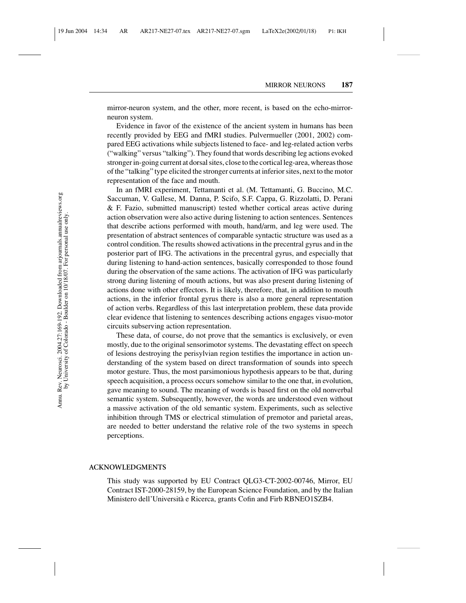mirror-neuron system, and the other, more recent, is based on the echo-mirrorneuron system.

Evidence in favor of the existence of the ancient system in humans has been recently provided by EEG and fMRI studies. Pulvermueller (2001, 2002) compared EEG activations while subjects listened to face- and leg-related action verbs ("walking" versus "talking"). They found that words describing leg actions evoked stronger in-going current at dorsal sites, close to the cortical leg-area, whereas those of the "talking" type elicited the stronger currents at inferiorsites, next to the motor representation of the face and mouth.

In an fMRI experiment, Tettamanti et al. (M. Tettamanti, G. Buccino, M.C. Saccuman, V. Gallese, M. Danna, P. Scifo, S.F. Cappa, G. Rizzolatti, D. Perani & F. Fazio, submitted manuscript) tested whether cortical areas active during action observation were also active during listening to action sentences. Sentences that describe actions performed with mouth, hand/arm, and leg were used. The presentation of abstract sentences of comparable syntactic structure was used as a control condition. The results showed activations in the precentral gyrus and in the posterior part of IFG. The activations in the precentral gyrus, and especially that during listening to hand-action sentences, basically corresponded to those found during the observation of the same actions. The activation of IFG was particularly strong during listening of mouth actions, but was also present during listening of actions done with other effectors. It is likely, therefore, that, in addition to mouth actions, in the inferior frontal gyrus there is also a more general representation of action verbs. Regardless of this last interpretation problem, these data provide clear evidence that listening to sentences describing actions engages visuo-motor circuits subserving action representation.

These data, of course, do not prove that the semantics is exclusively, or even mostly, due to the original sensorimotor systems. The devastating effect on speech of lesions destroying the perisylvian region testifies the importance in action understanding of the system based on direct transformation of sounds into speech motor gesture. Thus, the most parsimonious hypothesis appears to be that, during speech acquisition, a process occurs somehow similar to the one that, in evolution, gave meaning to sound. The meaning of words is based first on the old nonverbal semantic system. Subsequently, however, the words are understood even without a massive activation of the old semantic system. Experiments, such as selective inhibition through TMS or electrical stimulation of premotor and parietal areas, are needed to better understand the relative role of the two systems in speech perceptions.

#### **ACKNOWLEDGMENTS**

This study was supported by EU Contract QLG3-CT-2002-00746, Mirror, EU Contract IST-2000-28159, by the European Science Foundation, and by the Italian Ministero dell'Universita` e Ricerca, grants Cofin and Firb RBNEO1SZB4.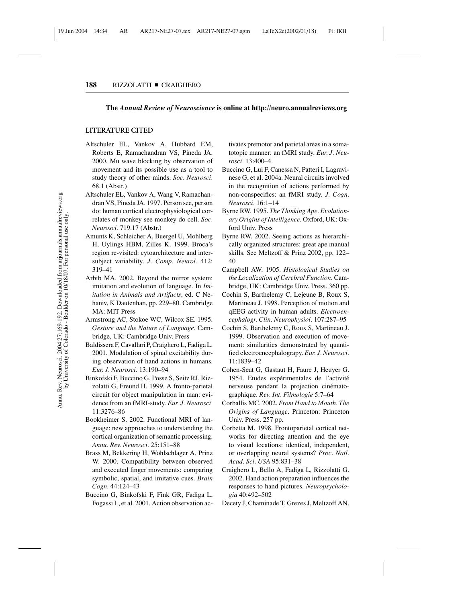#### **The** *Annual Review of Neuroscience* **is online at http://neuro.annualreviews.org**

#### **LITERATURE CITED**

- Altschuler EL, Vankov A, Hubbard EM, Roberts E, Ramachandran VS, Pineda JA. 2000. Mu wave blocking by observation of movement and its possible use as a tool to study theory of other minds. *Soc. Neurosci.* 68.1 (Abstr.)
- Altschuler EL, Vankov A, Wang V, Ramachandran VS, Pineda JA. 1997. Person see, person do: human cortical electrophysiological correlates of monkey see monkey do cell. *Soc. Neurosci.* 719.17 (Abstr.)
- Amunts K, Schleicher A, Buergel U, Mohlberg H, Uylings HBM, Zilles K. 1999. Broca's region re-visited: cytoarchitecture and intersubject variability. *J. Comp. Neurol.* 412: 319–41
- Arbib MA. 2002. Beyond the mirror system: imitation and evolution of language. In *Imitation in Animals and Artifacts*, ed. C Nehaniv, K Dautenhan, pp. 229–80. Cambridge MA: MIT Press
- Armstrong AC, Stokoe WC, Wilcox SE. 1995. *Gesture and the Nature of Language.* Cambridge, UK: Cambridge Univ. Press
- Baldissera F,Cavallari P,CraigheroL, FadigaL. 2001. Modulation of spinal excitability during observation of hand actions in humans. *Eur. J. Neurosci.* 13:190–94
- Binkofski F, Buccino G, Posse S, Seitz RJ, Rizzolatti G, Freund H. 1999. A fronto-parietal circuit for object manipulation in man: evidence from an fMRI-study. *Eur. J. Neurosci.* 11:3276–86
- Bookheimer S. 2002. Functional MRI of language: new approaches to understanding the cortical organization of semantic processing. *Annu. Rev. Neurosci.* 25:151–88
- Brass M, Bekkering H, Wohlschlager A, Prinz W. 2000. Compatibility between observed and executed finger movements: comparing symbolic, spatial, and imitative cues. *Brain Cogn.* 44:124–43
- Buccino G, Binkofski F, Fink GR, Fadiga L, Fogassi L, et al. 2001. Action observation ac-

tivates premotor and parietal areas in a somatotopic manner: an fMRI study. *Eur. J. Neurosci.* 13:400–4

- Buccino G, Lui F, Canessa N, Patteri I, Lagravinese G, et al. 2004a. Neural circuits involved in the recognition of actions performed by non-conspecifics: an fMRI study. *J. Cogn. Neurosci.* 16:1–14
- Byrne RW. 1995. *The Thinking Ape. Evolutionary Origins of Intelligence*. Oxford, UK: Oxford Univ. Press
- Byrne RW. 2002. Seeing actions as hierarchically organized structures: great ape manual skills. See Meltzoff & Prinz 2002, pp. 122– 40
- Campbell AW. 1905. *Histological Studies on the Localization of Cerebral Function*. Cambridge, UK: Cambridge Univ. Press. 360 pp.
- Cochin S, Barthelemy C, Lejeune B, Roux S, Martineau J. 1998. Perception of motion and qEEG activity in human adults. *Electroencephalogr. Clin. Neurophysiol.* 107:287–95
- Cochin S, Barthelemy C, Roux S, Martineau J. 1999. Observation and execution of movement: similarities demonstrated by quantified electroencephalograpy. *Eur. J. Neurosci.* 11:1839–42
- Cohen-Seat G, Gastaut H, Faure J, Heuyer G. 1954. Etudes expérimentales de l'activité nerveuse pendant la projection cinématographique. *Rev. Int. Filmologie* 5:7–64
- Corballis MC. 2002. *From Hand to Mouth*. *The Origins of Language*. Princeton: Princeton Univ. Press. 257 pp.
- Corbetta M. 1998. Frontoparietal cortical networks for directing attention and the eye to visual locations: identical, independent, or overlapping neural systems? *Proc. Natl. Acad. Sci. USA* 95:831–38
- Craighero L, Bello A, Fadiga L, Rizzolatti G. 2002. Hand action preparation influences the responses to hand pictures. *Neuropsychologia* 40:492–502
- Decety J, Chaminade T, Grezes J, Meltzoff AN.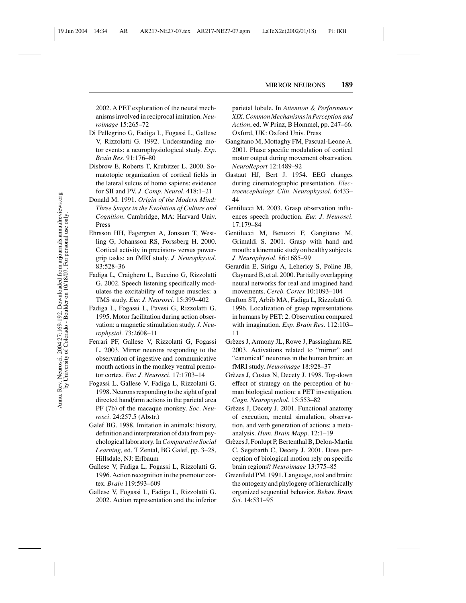2002. A PET exploration of the neural mechanismsinvolved in reciprocal imitation. *Neuroimage* 15:265–72

- Di Pellegrino G, Fadiga L, Fogassi L, Gallese V, Rizzolatti G. 1992. Understanding motor events: a neurophysiological study. *Exp. Brain Res.* 91:176–80
- Disbrow E, Roberts T, Krubitzer L. 2000. Somatotopic organization of cortical fields in the lateral sulcus of homo sapiens: evidence for SII and PV. *J. Comp. Neurol.* 418:1–21
- Donald M. 1991. *Origin of the Modern Mind: Three Stages in the Evolution of Culture and Cognition*. Cambridge, MA: Harvard Univ. Press
- Ehrsson HH, Fagergren A, Jonsson T, Westling G, Johansson RS, Forssberg H. 2000. Cortical activity in precision- versus powergrip tasks: an fMRI study. *J. Neurophysiol.* 83:528–36
- Fadiga L, Craighero L, Buccino G, Rizzolatti G. 2002. Speech listening specifically modulates the excitability of tongue muscles: a TMS study. *Eur. J. Neurosci.* 15:399–402
- Fadiga L, Fogassi L, Pavesi G, Rizzolatti G. 1995. Motor facilitation during action observation: a magnetic stimulation study. *J. Neurophysiol.* 73:2608–11
- Ferrari PF, Gallese V, Rizzolatti G, Fogassi L. 2003. Mirror neurons responding to the observation of ingestive and communicative mouth actions in the monkey ventral premotor cortex. *Eur. J. Neurosci.* 17:1703–14
- Fogassi L, Gallese V, Fadiga L, Rizzolatti G. 1998. Neurons responding to the sight of goal directed hand/arm actions in the parietal area PF (7b) of the macaque monkey. *Soc. Neurosci.* 24:257.5 (Abstr.)
- Galef BG. 1988. Imitation in animals: history, definition and interpretation of data frompsychological laboratory.In*Comparative Social Learning,* ed. T Zental, BG Galef, pp. 3–28, Hillsdale, NJ: Erlbaum
- Gallese V, Fadiga L, Fogassi L, Rizzolatti G. 1996. Action recognition in the premotor cortex. *Brain* 119:593–609
- Gallese V, Fogassi L, Fadiga L, Rizzolatti G. 2002. Action representation and the inferior

parietal lobule. In *Attention & Performance XIX.Common MechanismsinPerception and Action*, ed. W Prinz, B Hommel, pp. 247–66. Oxford, UK: Oxford Univ. Press

- Gangitano M, Mottaghy FM, Pascual-Leone A. 2001. Phase specific modulation of cortical motor output during movement observation. *NeuroReport* 12:1489–92
- Gastaut HJ, Bert J. 1954. EEG changes during cinematographic presentation. *Electroencephalogr. Clin. Neurophysiol.* 6:433– 44
- Gentilucci M. 2003. Grasp observation influences speech production. *Eur. J. Neurosci.* 17:179–84
- Gentilucci M, Benuzzi F, Gangitano M, Grimaldi S. 2001. Grasp with hand and mouth: a kinematic study on healthy subjects. *J. Neurophysiol.* 86:1685–99
- Gerardin E, Sirigu A, Lehericy S, Poline JB, GaymardB, et al. 2000. Partially overlapping neural networks for real and imagined hand movements. *Cereb. Cortex* 10:1093–104
- Grafton ST, Arbib MA, Fadiga L, Rizzolatti G. 1996. Localization of grasp representations in humans by PET: 2. Observation compared with imagination. *Exp. Brain Res.* 112:103– 11
- Grèzes J, Armony JL, Rowe J, Passingham RE. 2003. Activations related to "mirror" and "canonical" neurones in the human brain: an fMRI study. *Neuroimage* 18:928–37
- Grèzes J, Costes N, Decety J. 1998. Top-down effect of strategy on the perception of human biological motion: a PET investigation. *Cogn. Neuropsychol.* 15:553–82
- Grèzes J, Decety J. 2001. Functional anatomy of execution, mental simulation, observation, and verb generation of actions: a metaanalysis. *Hum. Brain Mapp.* 12:1–19
- Grèzes J, Fonlupt P, Bertenthal B, Delon-Martin C, Segebarth C, Decety J. 2001. Does perception of biological motion rely on specific brain regions? *Neuroimage* 13:775–85
- Greenfield PM. 1991. Language, tool and brain: the ontogeny and phylogeny of hierarchically organized sequential behavior. *Behav. Brain Sci.* 14:531–95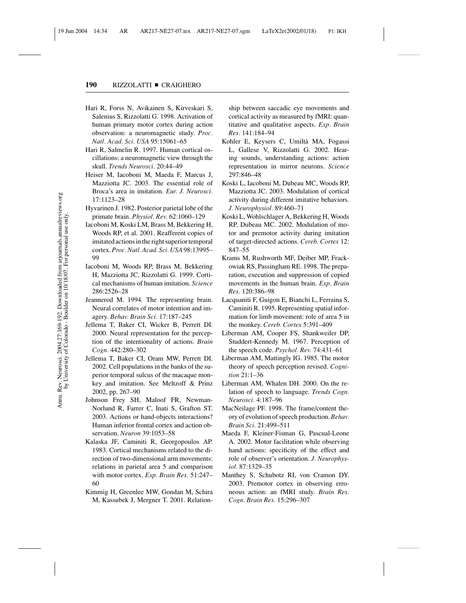- Hari R, Forss N, Avikainen S, Kirveskari S, Salenius S, Rizzolatti G. 1998. Activation of human primary motor cortex during action observation: a neuromagnetic study. *Proc. Natl. Acad. Sci. USA* 95:15061–65
- Hari R, Salmelin R. 1997. Human cortical oscillations: a neuromagnetic view through the skull. *Trends Neurosci.* 20:44–49
- Heiser M, Iacoboni M, Maeda F, Marcus J, Mazziotta JC. 2003. The essential role of Broca's area in imitation. *Eur. J. Neurosci.* 17:1123–28
- Hyvarinen J. 1982. Posterior parietal lobe of the primate brain. *Physiol. Rev.* 62:1060–129
- Iacoboni M, Koski LM, Brass M, Bekkering H, Woods RP, et al. 2001. Reafferent copies of imitated actions in the right superior temporal cortex. *Proc.Natl. Acad. Sci. USA* 98:13995– 99
- Iacoboni M, Woods RP, Brass M, Bekkering H, Mazziotta JC, Rizzolatti G. 1999. Cortical mechanisms of human imitation. *Science* 286:2526–28
- Jeannerod M. 1994. The representing brain. Neural correlates of motor intention and imagery. *Behav. Brain Sci.* 17:187–245
- Jellema T, Baker CI, Wicker B, Perrett DI. 2000. Neural representation for the perception of the intentionality of actions. *Brain Cogn.* 442:280–302
- Jellema T, Baker CI, Oram MW, Perrett DI. 2002. Cell populations in the banks of the superior temporal sulcus of the macaque monkey and imitation. See Meltzoff & Prinz 2002, pp. 267–90
- Johnson Frey SH, Maloof FR, Newman-Norlund R, Farrer C, Inati S, Grafton ST. 2003. Actions or hand-objects interactions? Human inferior frontal cortex and action observation. *Neuron* 39:1053–58
- Kalaska JF, Caminiti R, Georgopoulos AP. 1983. Cortical mechanisms related to the direction of two-dimensional arm movements: relations in parietal area 5 and comparison with motor cortex. *Exp. Brain Res.* 51:247– 60
- Kimmig H, Greenlee MW, Gondan M, Schira M, Kassubek J, Mergner T. 2001. Relation-

ship between saccadic eye movements and cortical activity as measured by fMRI: quantitative and qualitative aspects. *Exp. Brain Res.* 141:184–94

- Kohler E, Keysers C, Umiltà MA, Fogassi L, Gallese V, Rizzolatti G. 2002. Hearing sounds, understanding actions: action representation in mirror neurons. *Science* 297:846–48
- Koski L, Iacoboni M, Dubeau MC, Woods RP, Mazziotta JC. 2003. Modulation of cortical activity during different imitative behaviors. *J. Neurophysiol.* 89:460–71
- Koski L, Wohlschlager A, Bekkering H, Woods RP, Dubeau MC. 2002. Modulation of motor and premotor activity during imitation of target-directed actions. *Cereb. Cortex* 12: 847–55
- Krams M, Rushworth MF, Deiber MP, Frackowiak RS, Passingham RE. 1998. The preparation, execution and suppression of copied movements in the human brain. *Exp. Brain Res.* 120:386–98
- Lacquaniti F, Guigon E, Bianchi L, Ferraina S, Caminiti R. 1995. Representing spatial information for limb movement: role of area 5 in the monkey. *Cereb. Cortex* 5:391–409
- Liberman AM, Cooper FS, Shankweiler DP, Studdert-Kennedy M. 1967. Perception of the speech code. *Psychol. Rev.* 74:431–61
- Liberman AM, Mattingly IG. 1985. The motor theory of speech perception revised. *Cognition* 21:1–36
- Liberman AM, Whalen DH. 2000. On the relation of speech to language. *Trends Cogn. Neurosci.* 4:187–96
- MacNeilage PF. 1998. The frame/content theory of evolution ofspeech production. *Behav. Brain Sci.* 21:499–511
- Maeda F, Kleiner-Fisman G, Pascual-Leone A. 2002. Motor facilitation while observing hand actions: specificity of the effect and role of observer's orientation. *J. Neurophysiol.* 87:1329–35
- Manthey S, Schubotz RI, von Cramon DY. 2003. Premotor cortex in observing erroneous action: an fMRI study. *Brain Res. Cogn. Brain Res.* 15:296–307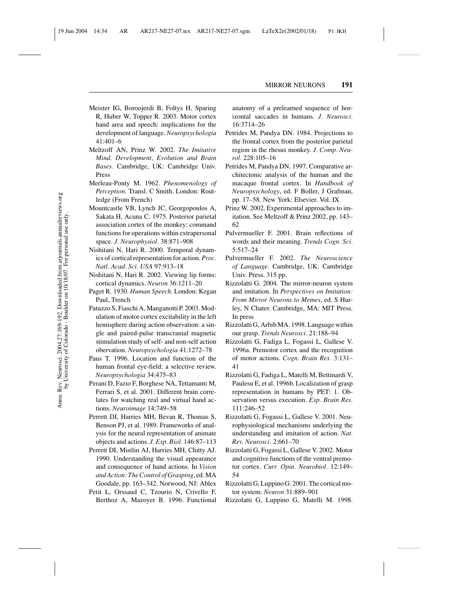- Meister IG, Boroojerdi B, Foltys H, Sparing R, Huber W, Topper R. 2003. Motor cortex hand area and speech: implications for the development of language. *Neuropsychologia* 41:401–6
- Meltzoff AN, Prinz W. 2002. *The Imitative Mind. Development, Evolution and Brain Bases.* Cambridge, UK: Cambridge Univ. Press
- Merleau-Ponty M. 1962. *Phenomenology of Perception*. Transl. C Smith. London: Routledge (From French)
- Mountcastle VB, Lynch JC, Georgopoulos A, Sakata H, Acuna C. 1975. Posterior parietal association cortex of the monkey: command functions for operations within extrapersonal space. *J. Neurophysiol.* 38:871–908
- Nishitani N, Hari R. 2000. Temporal dynamics of cortical representation for action. *Proc. Natl. Acad. Sci. USA* 97:913–18
- Nishitani N, Hari R. 2002. Viewing lip forms: cortical dynamics. *Neuron* 36:1211–20
- Paget R. 1930. *Human Speech*. London: Kegan Paul, Trench
- Patuzzo S, Fiaschi A, Manganotti P. 2003. Modulation of motor cortex excitability in the left hemisphere during action observation: a single and paired-pulse transcranial magnetic stimulation study of self- and non-self action obervation. *Neuropsychologia* 41:1272–78
- Paus T. 1996. Location and function of the human frontal eye-field: a selective review. *Neuropsychologia* 34:475–83
- Perani D, Fazio F, Borghese NA, Tettamanti M, Ferrari S, et al. 2001. Different brain correlates for watching real and virtual hand actions. *Neuroimage* 14:749–58
- Perrett DI, Harries MH, Bevan R, Thomas S, Benson PJ, et al. 1989. Frameworks of analysis for the neural representation of animate objects and actions. *J. Exp. Biol.* 146:87–113
- Perrett DI, Mistlin AJ, Harries MH, Chitty AJ. 1990. Understanding the visual appearance and consequence of hand actions. In *Vision andAction: TheControl of Grasping*, ed. MA Goodale, pp. 163–342. Norwood, NJ: Ablex
- Petit L, Orssaud C, Tzourio N, Crivello F, Berthoz A, Mazoyer B. 1996. Functional

anatomy of a prelearned sequence of horizontal saccades in humans. *J. Neurosci.* 16:3714–26

- Petrides M, Pandya DN. 1984. Projections to the frontal cortex from the posterior parietal region in the rhesus monkey. *J. Comp. Neurol.* 228:105–16
- Petrides M, Pandya DN. 1997. Comparative architectonic analysis of the human and the macaque frontal cortex. In *Handbook of Neuropsychology*, ed. F Boller, J Grafman, pp. 17–58. New York: Elsevier. Vol. IX
- Prinz W. 2002. Experimental approaches to imitation. See Meltzoff & Prinz 2002, pp. 143– 62
- Pulvermueller F. 2001. Brain reflections of words and their meaning. *Trends Cogn. Sci.* 5:517–24
- Pulvermueller F. 2002. *The Neuroscience of Language.* Cambridge, UK: Cambridge Univ. Press. 315 pp.
- Rizzolatti G. 2004. The mirror-neuron system and imitation. In *Perspectives on Imitation: From Mirror Neurons to Memes*, ed. S Hurley, N Chater. Cambridge, MA: MIT Press. In press
- RizzolattiG,ArbibMA. 1998.Languagewithin our grasp. *Trends Neurosci.* 21:188–94
- Rizzolatti G, Fadiga L, Fogassi L, Gallese V. 1996a. Premotor cortex and the recognition of motor actions. *Cogn. Brain Res.* 3:131– 41
- Rizzolatti G, Fadiga L, Matelli M, Bettinardi V, Paulesu E, et al. 1996b. Localization of grasp representation in humans by PET: 1. Observation versus execution. *Exp. Brain Res.* 111:246–52
- Rizzolatti G, Fogassi L, Gallese V. 2001. Neurophysiological mechanisms underlying the understanding and imitation of action. *Nat. Rev. Neurosci.* 2:661–70
- Rizzolatti G, Fogassi L, Gallese V. 2002. Motor and cognitive functions of the ventral premotor cortex. *Curr. Opin. Neurobiol.* 12:149– 54
- Rizzolatti G, Luppino G. 2001. The cortical motor system. *Neuron* 31:889–901
- Rizzolatti G, Luppino G, Matelli M. 1998.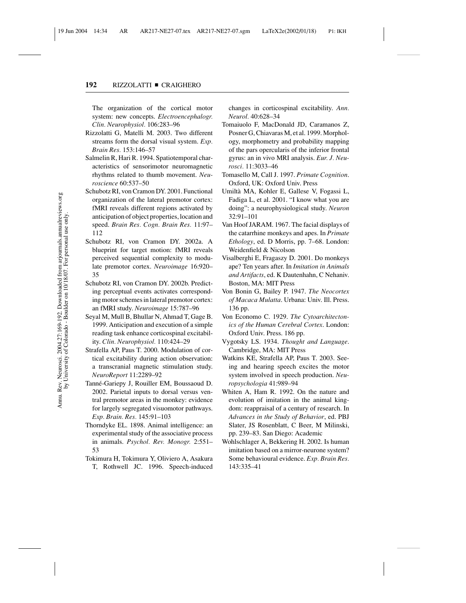The organization of the cortical motor system: new concepts. *Electroencephalogr. Clin. Neurophysiol.* 106:283–96

- Rizzolatti G, Matelli M. 2003. Two different streams form the dorsal visual system. *Exp. Brain Res.* 153:146–57
- Salmelin R, Hari R. 1994. Spatiotemporal characteristics of sensorimotor neuromagnetic rhythms related to thumb movement. *Neuroscience* 60:537–50
- SchubotzRI, vonCramon DY. 2001. Functional organization of the lateral premotor cortex: fMRI reveals different regions activated by anticipation of object properties, location and speed. *Brain Res. Cogn. Brain Res.* 11:97– 112
- Schubotz RI, von Cramon DY. 2002a. A blueprint for target motion: fMRI reveals perceived sequential complexity to modulate premotor cortex. *Neuroimage* 16:920– 35
- Schubotz RI, von Cramon DY. 2002b. Predicting perceptual events activates corresponding motor schemes in lateral premotor cortex: an fMRI study. *Neuroimage* 15:787–96
- Seyal M, Mull B, Bhullar N, Ahmad T, Gage B. 1999. Anticipation and execution of a simple reading task enhance corticospinal excitability. *Clin. Neurophysiol.* 110:424–29
- Strafella AP, Paus T. 2000. Modulation of cortical excitability during action observation: a transcranial magnetic stimulation study. *NeuroReport* 11:2289–92
- Tanné-Gariepy J, Rouiller EM, Boussaoud D. 2002. Parietal inputs to dorsal versus ventral premotor areas in the monkey: evidence for largely segregated visuomotor pathways. *Exp. Brain. Res.* 145:91–103
- Thorndyke EL. 1898. Animal intelligence: an experimental study of the associative process in animals. *Psychol. Rev. Monogr.* 2:551– 53
- Tokimura H, Tokimura Y, Oliviero A, Asakura
	- T, Rothwell JC. 1996. Speech-induced

changes in corticospinal excitability. *Ann. Neurol.* 40:628–34

- Tomaiuolo F, MacDonald JD, Caramanos Z, Posner G,Chiavaras M, et al. 1999. Morphology, morphometry and probability mapping of the pars opercularis of the inferior frontal gyrus: an in vivo MRI analysis. *Eur. J. Neurosci.* 11:3033–46
- Tomasello M, Call J. 1997. *Primate Cognition*. Oxford, UK: Oxford Univ. Press
- Umilta` MA, Kohler E, Gallese V, Fogassi L, Fadiga L, et al. 2001. "I know what you are doing": a neurophysiological study. *Neuron* 32:91–101
- Van Hoof JARAM. 1967. The facial displays of the catarrhine monkeys and apes. In *Primate Ethology*, ed. D Morris, pp. 7–68. London: Weidenfield & Nicolson
- Visalberghi E, Fragaszy D. 2001. Do monkeys ape? Ten years after. In *Imitation in Animals and Artifacts*, ed. K Dautenhahn, C Nehaniv. Boston, MA: MIT Press
- Von Bonin G, Bailey P. 1947. *The Neocortex of Macaca Mulatta*. Urbana: Univ. Ill. Press. 136 pp.
- Von Economo C. 1929. *The Cytoarchitectonics of the Human Cerebral Cortex*. London: Oxford Univ. Press. 186 pp.
- Vygotsky LS. 1934. *Thought and Language*. Cambridge, MA: MIT Press
- Watkins KE, Strafella AP, Paus T. 2003. Seeing and hearing speech excites the motor system involved in speech production. *Neuropsychologia* 41:989–94
- Whiten A, Ham R. 1992. On the nature and evolution of imitation in the animal kingdom: reappraisal of a century of research. In *Advances in the Study of Behavior*, ed. PBJ Slater, JS Rosenblatt, C Beer, M Milinski, pp. 239–83. San Diego: Academic
- Wohlschlager A, Bekkering H. 2002. Is human imitation based on a mirror-neurone system? Some behavioural evidence. *Exp. Brain Res.* 143:335–41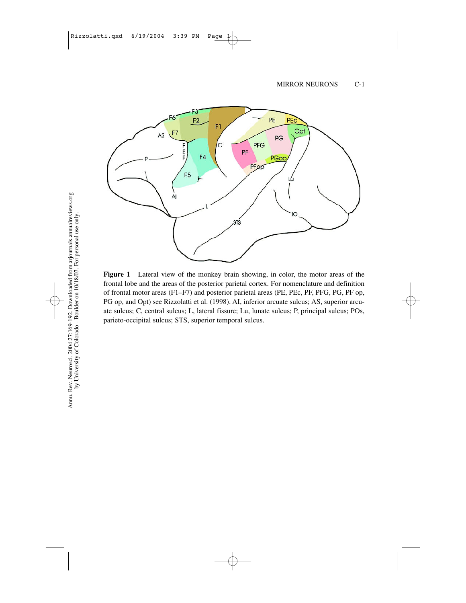

**Figure 1** Lateral view of the monkey brain showing, in color, the motor areas of the frontal lobe and the areas of the posterior parietal cortex. For nomenclature and definition of frontal motor areas (F1–F7) and posterior parietal areas (PE, PEc, PF, PFG, PG, PF op, PG op, and Opt) see Rizzolatti et al. (1998). AI, inferior arcuate sulcus; AS, superior arcuate sulcus; C, central sulcus; L, lateral fissure; Lu, lunate sulcus; P, principal sulcus; POs, parieto-occipital sulcus; STS, superior temporal sulcus.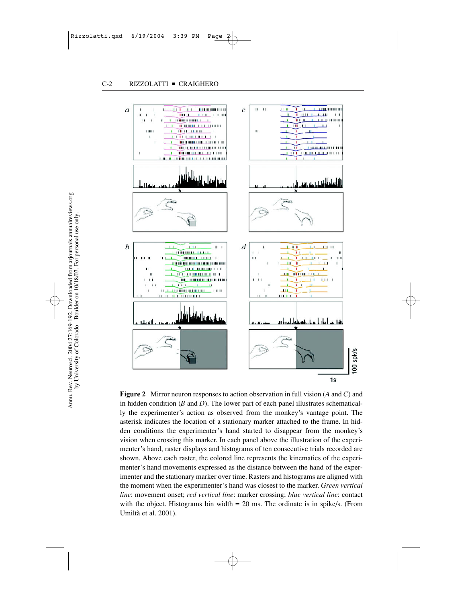

**Figure 2** Mirror neuron responses to action observation in full vision (*A* and *C*) and in hidden condition (*B* and *D*). The lower part of each panel illustrates schematically the experimenter's action as observed from the monkey's vantage point. The asterisk indicates the location of a stationary marker attached to the frame. In hidden conditions the experimenter's hand started to disappear from the monkey's vision when crossing this marker. In each panel above the illustration of the experimenter's hand, raster displays and histograms of ten consecutive trials recorded are shown. Above each raster, the colored line represents the kinematics of the experimenter's hand movements expressed as the distance between the hand of the experimenter and the stationary marker over time. Rasters and histograms are aligned with the moment when the experimenter's hand was closest to the marker. *Green vertical line*: movement onset; *red vertical line*: marker crossing; *blue vertical line*: contact with the object. Histograms bin width  $= 20$  ms. The ordinate is in spike/s. (From Umiltà et al. 2001).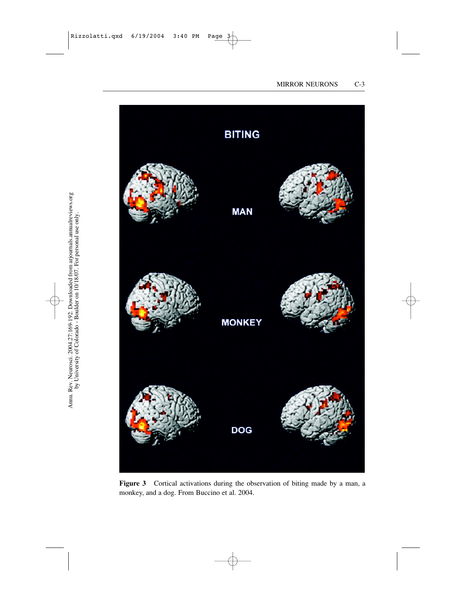

Figure 3 Cortical activations during the observation of biting made by a man, a monkey, and a dog. From Buccino et al. 2004.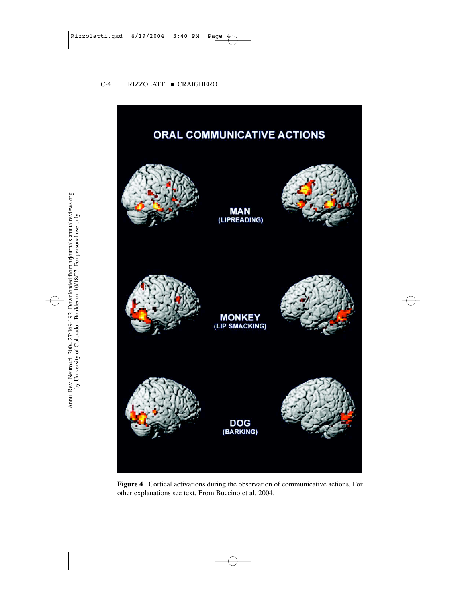

**Figure 4** Cortical activations during the observation of communicative actions. For other explanations see text. From Buccino et al. 2004.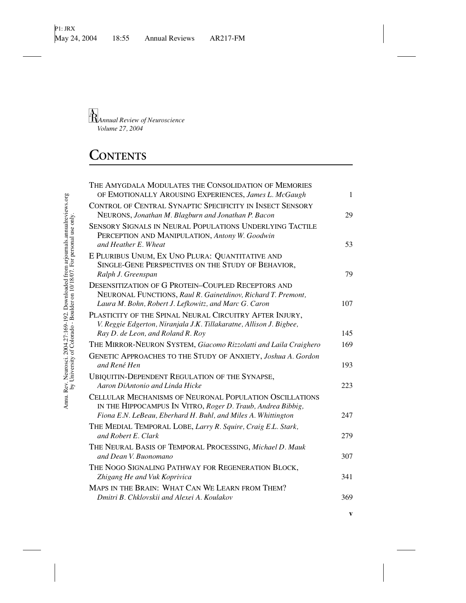# **CONTENTS**

| THE AMYGDALA MODULATES THE CONSOLIDATION OF MEMORIES<br>OF EMOTIONALLY AROUSING EXPERIENCES, James L. McGaugh                                                                           | $\mathbf{1}$ |
|-----------------------------------------------------------------------------------------------------------------------------------------------------------------------------------------|--------------|
| CONTROL OF CENTRAL SYNAPTIC SPECIFICITY IN INSECT SENSORY<br>NEURONS, Jonathan M. Blagburn and Jonathan P. Bacon                                                                        | 29           |
| SENSORY SIGNALS IN NEURAL POPULATIONS UNDERLYING TACTILE<br>PERCEPTION AND MANIPULATION, Antony W. Goodwin<br>and Heather E. Wheat                                                      | 53           |
| E PLURIBUS UNUM, EX UNO PLURA: QUANTITATIVE AND<br>SINGLE-GENE PERSPECTIVES ON THE STUDY OF BEHAVIOR,<br>Ralph J. Greenspan                                                             | 79           |
| <b>DESENSITIZATION OF G PROTEIN-COUPLED RECEPTORS AND</b><br>NEURONAL FUNCTIONS, Raul R. Gainetdinov, Richard T. Premont,<br>Laura M. Bohn, Robert J. Lefkowitz, and Marc G. Caron      | 107          |
| PLASTICITY OF THE SPINAL NEURAL CIRCUITRY AFTER INJURY,<br>V. Reggie Edgerton, Niranjala J.K. Tillakaratne, Allison J. Bigbee,<br>Ray D. de Leon, and Roland R. Roy                     | 145          |
| THE MIRROR-NEURON SYSTEM, Giacomo Rizzolatti and Laila Craighero                                                                                                                        | 169          |
| GENETIC APPROACHES TO THE STUDY OF ANXIETY, Joshua A. Gordon<br>and René Hen                                                                                                            | 193          |
| <b>UBIQUITIN-DEPENDENT REGULATION OF THE SYNAPSE,</b><br>Aaron DiAntonio and Linda Hicke                                                                                                | 223          |
| CELLULAR MECHANISMS OF NEURONAL POPULATION OSCILLATIONS<br>IN THE HIPPOCAMPUS IN VITRO, Roger D. Traub, Andrea Bibbig,<br>Fiona E.N. LeBeau, Eberhard H. Buhl, and Miles A. Whittington | 247          |
| THE MEDIAL TEMPORAL LOBE, Larry R. Squire, Craig E.L. Stark,<br>and Robert E. Clark                                                                                                     | 279          |
| THE NEURAL BASIS OF TEMPORAL PROCESSING, Michael D. Mauk<br>and Dean V. Buonomano                                                                                                       | 307          |
| THE NOGO SIGNALING PATHWAY FOR REGENERATION BLOCK,<br>Zhigang He and Vuk Koprivica                                                                                                      | 341          |
| MAPS IN THE BRAIN: WHAT CAN WE LEARN FROM THEM?<br>Dmitri B. Chklovskii and Alexei A. Koulakov                                                                                          | 369          |